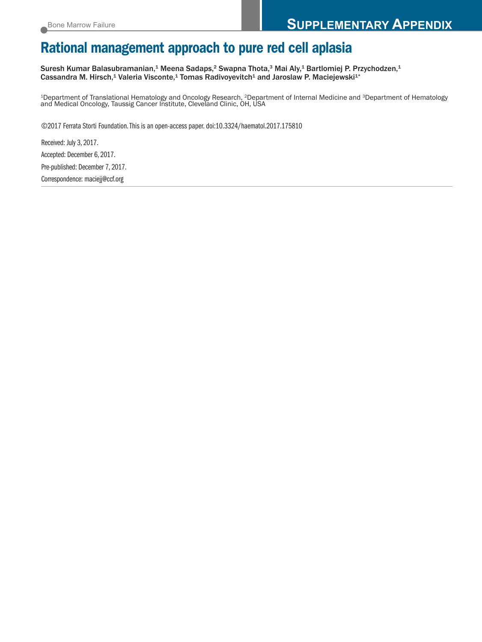# **Rational management approach to pure red cell aplasia**

Suresh Kumar Balasubramanian, <sup>1</sup> Meena Sadaps, <sup>2</sup> Swapna Thota, <sup>3</sup> Mai Aly, <sup>1</sup> Bartlomiej P. Przychodzen, 1 Cassandra M. Hirsch,<sup>1</sup> Valeria Visconte,<sup>1</sup> Tomas Radivoyevitch<sup>1</sup> and Jaroslaw P. Maciejewski<sup>1</sup>\*

1Department of Translational Hematology and Oncology Research, 2Department of Internal Medicine and 3Department of Hematology and Medical Oncology, Taussig Cancer Institute, Cleveland Clinic, OH, USA

©2017 Ferrata Storti Foundation.This is an open-access paper. doi:10.3324/haematol.2017.175810

Received: July 3, 2017. Accepted: December 6, 2017. Pre-published: December 7, 2017. Correspondence: maciejj@ccf.org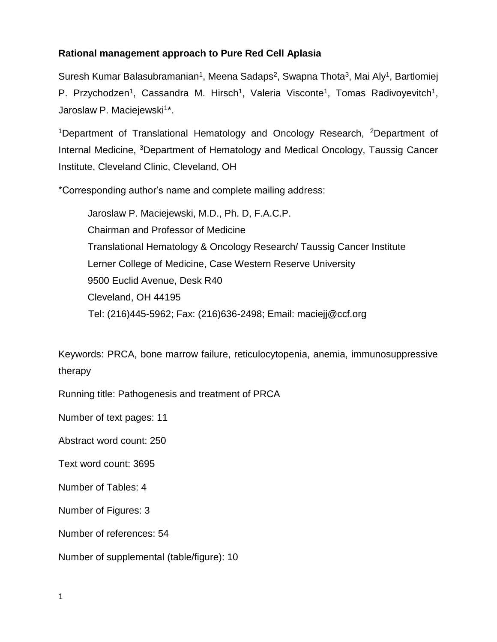## **Rational management approach to Pure Red Cell Aplasia**

Suresh Kumar Balasubramanian<sup>1</sup>, Meena Sadaps<sup>2</sup>, Swapna Thota<sup>3</sup>, Mai Aly<sup>1</sup>, Bartlomiej P. Przychodzen<sup>1</sup>, Cassandra M. Hirsch<sup>1</sup>, Valeria Visconte<sup>1</sup>, Tomas Radivoyevitch<sup>1</sup>, Jaroslaw P. Maciejewski<sup>1\*</sup>.

<sup>1</sup>Department of Translational Hematology and Oncology Research, <sup>2</sup>Department of Internal Medicine, <sup>3</sup>Department of Hematology and Medical Oncology, Taussig Cancer Institute, Cleveland Clinic, Cleveland, OH

\*Corresponding author's name and complete mailing address:

Jaroslaw P. Maciejewski, M.D., Ph. D, F.A.C.P. Chairman and Professor of Medicine Translational Hematology & Oncology Research/ Taussig Cancer Institute Lerner College of Medicine, Case Western Reserve University 9500 Euclid Avenue, Desk R40 Cleveland, OH 44195 Tel: (216)445-5962; Fax: (216)636-2498; Email: maciejj@ccf.org

Keywords: PRCA, bone marrow failure, reticulocytopenia, anemia, immunosuppressive therapy

Running title: Pathogenesis and treatment of PRCA

Number of text pages: 11

Abstract word count: 250

Text word count: 3695

Number of Tables: 4

Number of Figures: 3

Number of references: 54

Number of supplemental (table/figure): 10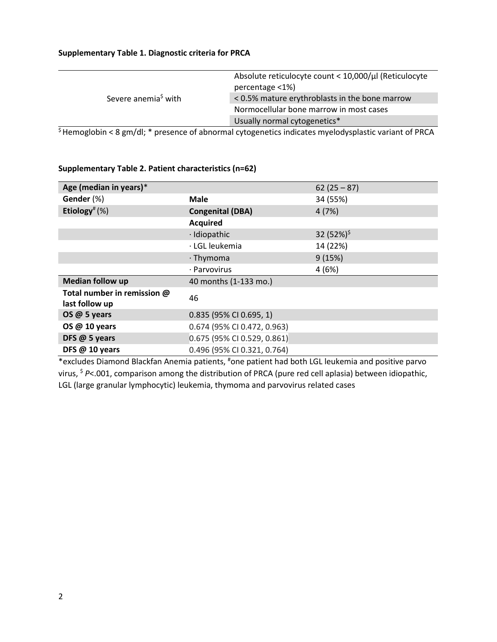#### **Supplementary Table 1. Diagnostic criteria for PRCA**

|                                 | Absolute reticulocyte count < 10,000/µl (Reticulocyte |
|---------------------------------|-------------------------------------------------------|
|                                 | percentage <1%)                                       |
| Severe anemia <sup>s</sup> with | < 0.5% mature erythroblasts in the bone marrow        |
|                                 | Normocellular bone marrow in most cases               |
|                                 | Usually normal cytogenetics*                          |
| .                               |                                                       |

\$ Hemoglobin < 8 gm/dl; \* presence of abnormal cytogenetics indicates myelodysplastic variant of PRCA

| Age (median in years)*                        |                               | $62(25 - 87)$   |  |  |
|-----------------------------------------------|-------------------------------|-----------------|--|--|
| Gender (%)                                    | <b>Male</b>                   | 34 (55%)        |  |  |
| Etiology <sup>#</sup> $(\%)$                  | <b>Congenital (DBA)</b>       | 4(7%)           |  |  |
|                                               | <b>Acquired</b>               |                 |  |  |
|                                               | · Idiopathic                  | 32 $(52%)^{\$}$ |  |  |
|                                               | · LGL leukemia                | 14 (22%)        |  |  |
|                                               | $\cdot$ Thymoma               | 9(15%)          |  |  |
|                                               | · Parvovirus                  | 4(6%)           |  |  |
| <b>Median follow up</b>                       | 40 months (1-133 mo.)         |                 |  |  |
| Total number in remission @<br>last follow up | 46                            |                 |  |  |
| OS @ 5 years                                  | 0.835 (95% CI 0.695, 1)       |                 |  |  |
| OS @ 10 years                                 | 0.674 (95% CI 0.472, 0.963)   |                 |  |  |
| DFS @ 5 years                                 | $0.675$ (95% CI 0.529, 0.861) |                 |  |  |
| DFS @ 10 years                                | 0.496 (95% CI 0.321, 0.764)   |                 |  |  |

#### **Supplementary Table 2. Patient characteristics (n=62)**

\*excludes Diamond Blackfan Anemia patients, #one patient had both LGL leukemia and positive parvo virus, \$ *P*<.001, comparison among the distribution of PRCA (pure red cell aplasia) between idiopathic, LGL (large granular lymphocytic) leukemia, thymoma and parvovirus related cases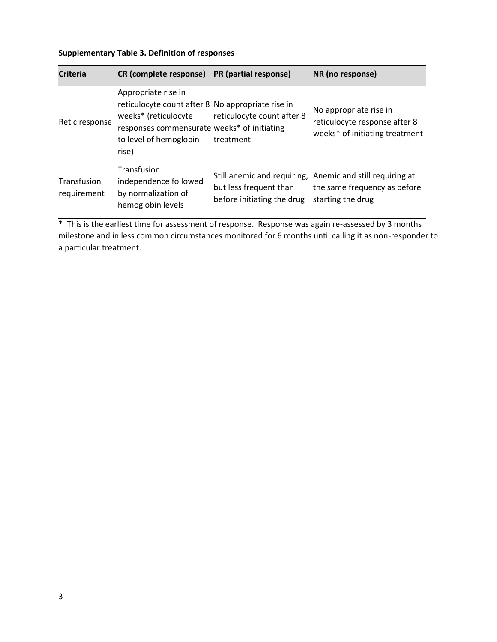## **Supplementary Table 3. Definition of responses**

| <b>Criteria</b>            | <b>CR</b> (complete response)                                                                                                                                                      | PR (partial response)                                | NR (no response)                                                                                               |
|----------------------------|------------------------------------------------------------------------------------------------------------------------------------------------------------------------------------|------------------------------------------------------|----------------------------------------------------------------------------------------------------------------|
| Retic response             | Appropriate rise in<br>reticulocyte count after 8 No appropriate rise in<br>weeks* (reticulocyte<br>responses commensurate weeks* of initiating<br>to level of hemoglobin<br>rise) | reticulocyte count after 8<br>treatment              | No appropriate rise in<br>reticulocyte response after 8<br>weeks* of initiating treatment                      |
| Transfusion<br>requirement | Transfusion<br>independence followed<br>by normalization of<br>hemoglobin levels                                                                                                   | but less frequent than<br>before initiating the drug | Still anemic and requiring, Anemic and still requiring at<br>the same frequency as before<br>starting the drug |

**\*** This is the earliest time for assessment of response. Response was again re-assessed by 3 months milestone and in less common circumstances monitored for 6 months until calling it as non-responder to a particular treatment.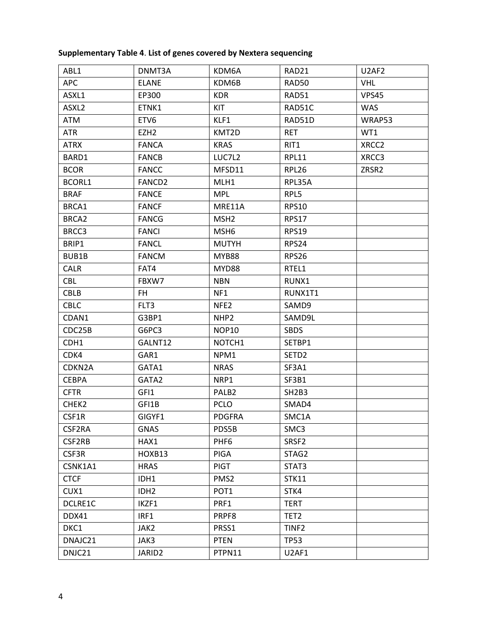| ABL1              | DNMT3A             | KDM6A             | RAD21                          | U2AF2             |
|-------------------|--------------------|-------------------|--------------------------------|-------------------|
| <b>APC</b>        | <b>ELANE</b>       | KDM6B             | RAD50                          | <b>VHL</b>        |
| ASXL1             | EP300              | <b>KDR</b>        | RAD51                          | <b>VPS45</b>      |
| ASXL <sub>2</sub> | ETNK1              | KIT               | RAD51C                         | <b>WAS</b>        |
| ATM               | ETV6               | KLF1              | RAD51D                         | WRAP53            |
| <b>ATR</b>        | EZH <sub>2</sub>   | KMT2D             | <b>RET</b>                     | WT1               |
| <b>ATRX</b>       | <b>FANCA</b>       | <b>KRAS</b>       | RIT1                           | XRCC <sub>2</sub> |
| BARD1             | <b>FANCB</b>       | LUC7L2            | <b>RPL11</b>                   | XRCC3             |
| <b>BCOR</b>       | <b>FANCC</b>       | MFSD11            | <b>RPL26</b>                   | ZRSR2             |
| BCORL1            | FANCD2             | MLH1              | RPL35A                         |                   |
| <b>BRAF</b>       | <b>FANCE</b>       | <b>MPL</b>        | RPL5                           |                   |
| BRCA1             | <b>FANCF</b>       | MRE11A            | <b>RPS10</b>                   |                   |
| BRCA <sub>2</sub> | <b>FANCG</b>       | MSH <sub>2</sub>  | <b>RPS17</b>                   |                   |
| BRCC3             | <b>FANCI</b>       | MSH <sub>6</sub>  | <b>RPS19</b>                   |                   |
| BRIP1             | <b>FANCL</b>       | <b>MUTYH</b>      | RPS24                          |                   |
| BUB1B             | <b>FANCM</b>       | <b>MYB88</b>      | RPS26                          |                   |
| <b>CALR</b>       | FAT4               | MYD88             | RTEL1                          |                   |
| <b>CBL</b>        | FBXW7              | <b>NBN</b>        | RUNX1                          |                   |
| CBLB              | FH.                | NF1               | RUNX1T1                        |                   |
| <b>CBLC</b>       | FLT3               | NFE <sub>2</sub>  | SAMD9                          |                   |
| CDAN1             | G3BP1              | NHP <sub>2</sub>  | SAMD9L                         |                   |
| CDC25B            | G6PC3              | NOP10             | <b>SBDS</b>                    |                   |
| CDH1              | GALNT12            | NOTCH1            | SETBP1                         |                   |
| CDK4              | GAR1               | NPM1              | SETD <sub>2</sub>              |                   |
| CDKN2A            | GATA1              | <b>NRAS</b>       | SF3A1                          |                   |
| <b>CEBPA</b>      | GATA2              | NRP1              | SF3B1                          |                   |
| <b>CFTR</b>       | GFI1               | PALB <sub>2</sub> | SH <sub>2</sub> B <sub>3</sub> |                   |
| CHEK2             | GFI1B              | <b>PCLO</b>       | SMAD4                          |                   |
| CSF1R             | GIGYF1             | <b>PDGFRA</b>     | SMC1A                          |                   |
| CSF2RA            | <b>GNAS</b>        | PDS5B             | SMC3                           |                   |
| CSF2RB            | HAX1               | PHF <sub>6</sub>  | SRSF2                          |                   |
| CSF3R             | HOXB13             | PIGA              | STAG2                          |                   |
| CSNK1A1           | <b>HRAS</b>        | <b>PIGT</b>       | STAT3                          |                   |
| <b>CTCF</b>       | IDH1               | PMS <sub>2</sub>  | <b>STK11</b>                   |                   |
| CUX1              | IDH <sub>2</sub>   | POT <sub>1</sub>  | STK4                           |                   |
| DCLRE1C           | IKZF1              | PRF1              | <b>TERT</b>                    |                   |
| DDX41             | IRF1               | PRPF8             | TET <sub>2</sub>               |                   |
| DKC1              | JAK2               | PRSS1             | TINF <sub>2</sub>              |                   |
| DNAJC21           | JAK3               | <b>PTEN</b>       | <b>TP53</b>                    |                   |
| DNJC21            | JARID <sub>2</sub> | PTPN11            | U2AF1                          |                   |

## **Supplementary Table 4**. **List of genes covered by Nextera sequencing**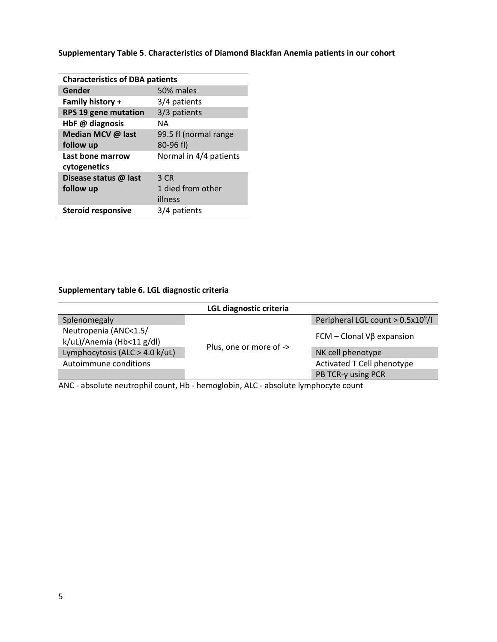| <b>Characteristics of DBA patients</b>    |                        |  |  |  |
|-------------------------------------------|------------------------|--|--|--|
| 50% males<br>Gender                       |                        |  |  |  |
| Family history +                          | 3/4 patients           |  |  |  |
| <b>RPS 19 gene mutation</b>               | 3/3 patients           |  |  |  |
| HbF @ diagnosis<br>NΑ                     |                        |  |  |  |
| Median MCV @ last                         | 99.5 fl (normal range  |  |  |  |
| follow up                                 | 80-96 fl)              |  |  |  |
| Last bone marrow                          | Normal in 4/4 patients |  |  |  |
| cytogenetics                              |                        |  |  |  |
| Disease status @ last                     | 3 CR                   |  |  |  |
| follow up                                 | 1 died from other      |  |  |  |
|                                           | illness                |  |  |  |
| <b>Steroid responsive</b><br>3/4 patients |                        |  |  |  |

**Supplementary Table 5**. **Characteristics of Diamond Blackfan Anemia patients in our cohort**

## **Supplementary table 6. LGL diagnostic criteria**

| LGL diagnostic criteria                            |                         |                                     |  |  |  |
|----------------------------------------------------|-------------------------|-------------------------------------|--|--|--|
| Splenomegaly                                       |                         | Peripheral LGL count $> 0.5x10^9/l$ |  |  |  |
| Neutropenia (ANC<1.5/<br>k/uL)/Anemia (Hb<11 g/dl) |                         | $FCM - Clonal V\beta$ expansion     |  |  |  |
| Lymphocytosis (ALC > 4.0 k/uL)                     | Plus, one or more of -> | NK cell phenotype                   |  |  |  |
| Autoimmune conditions                              |                         | Activated T Cell phenotype          |  |  |  |
|                                                    |                         | PB TCR-y using PCR                  |  |  |  |

ANC - absolute neutrophil count, Hb - hemoglobin, ALC - absolute lymphocyte count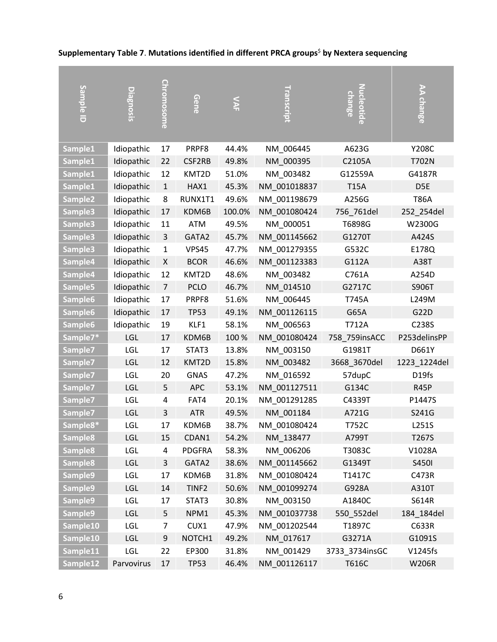| Sample ID           | <b>Diagnosis</b> |                   | Gene              | $\sum_{n=1}^{\infty}$ | Transcri     | <b>change</b>  |                 |
|---------------------|------------------|-------------------|-------------------|-----------------------|--------------|----------------|-----------------|
|                     |                  | <u>Chromosome</u> |                   |                       |              | Nucleotide     | AA change       |
|                     |                  |                   |                   |                       |              |                |                 |
| Sample1             | Idiopathic       | 17                | PRPF8             | 44.4%                 | NM_006445    | A623G          | Y208C           |
| Sample1             | Idiopathic       | 22                | CSF2RB            | 49.8%                 | NM 000395    | C2105A         | T702N           |
| Sample1             | Idiopathic       | 12                | KMT2D             | 51.0%                 | NM 003482    | G12559A        | G4187R          |
| Sample1             | Idiopathic       | $\mathbf{1}$      | HAX1              | 45.3%                 | NM_001018837 | <b>T15A</b>    | D <sub>5E</sub> |
| Sample <sub>2</sub> | Idiopathic       | 8                 | RUNX1T1           | 49.6%                 | NM_001198679 | A256G          | <b>T86A</b>     |
| Sample3             | Idiopathic       | 17                | KDM6B             | 100.0%                | NM_001080424 | 756_761del     | 252_254del      |
| Sample3             | Idiopathic       | 11                | <b>ATM</b>        | 49.5%                 | NM_000051    | T6898G         | W2300G          |
| Sample3             | Idiopathic       | 3                 | GATA2             | 45.7%                 | NM 001145662 | G1270T         | A424S           |
| Sample3             | Idiopathic       | $\mathbf{1}$      | <b>VPS45</b>      | 47.7%                 | NM_001279355 | G532C          | E178Q           |
| Sample4             | Idiopathic       | X                 | <b>BCOR</b>       | 46.6%                 | NM_001123383 | G112A          | A38T            |
| Sample4             | Idiopathic       | 12                | KMT2D             | 48.6%                 | NM 003482    | C761A          | A254D           |
| Sample5             | Idiopathic       | $\overline{7}$    | <b>PCLO</b>       | 46.7%                 | NM 014510    | G2717C         | S906T           |
| Sample <sub>6</sub> | Idiopathic       | 17                | PRPF8             | 51.6%                 | NM_006445    | T745A          | L249M           |
| Sample6             | Idiopathic       | 17                | <b>TP53</b>       | 49.1%                 | NM 001126115 | G65A           | G22D            |
| Sample6             | Idiopathic       | 19                | KLF1              | 58.1%                 | NM_006563    | T712A          | C238S           |
| Sample7*            | LGL              | 17                | KDM6B             | 100 %                 | NM_001080424 | 758_759insACC  | P253delinsPP    |
| Sample7             | <b>LGL</b>       | 17                | STAT3             | 13.8%                 | NM_003150    | G1981T         | D661Y           |
| Sample7             | LGL              | 12                | KMT2D             | 15.8%                 | NM 003482    | 3668_3670del   | 1223_1224del    |
| Sample7             | LGL              | 20                | <b>GNAS</b>       | 47.2%                 | NM_016592    | 57dupC         | D19fs           |
| Sample7             | <b>LGL</b>       | 5                 | <b>APC</b>        | 53.1%                 | NM_001127511 | G134C          | R45P            |
| Sample7             | <b>LGL</b>       | 4                 | FAT4              | 20.1%                 | NM 001291285 | C4339T         | P1447S          |
| Sample7             | <b>LGL</b>       | 3                 | <b>ATR</b>        | 49.5%                 | NM_001184    | A721G          | S241G           |
| Sample8*            | LGL              | 17                | KDM6B             | 38.7%                 | NM_001080424 | T752C          | L251S           |
| Sample8             | LGL              | 15                | CDAN1             | 54.2%                 | NM_138477    | A799T          | T267S           |
| Sample <sub>8</sub> | <b>LGL</b>       | 4                 | <b>PDGFRA</b>     | 58.3%                 | NM_006206    | T3083C         | V1028A          |
| Sample8             | <b>LGL</b>       | 3                 | GATA2             | 38.6%                 | NM 001145662 | G1349T         | S450I           |
| Sample9             | <b>LGL</b>       | 17                | KDM6B             | 31.8%                 | NM 001080424 | T1417C         | C473R           |
| Sample9             | <b>LGL</b>       | 14                | TINF <sub>2</sub> | 50.6%                 | NM 001099274 | G928A          | A310T           |
| Sample9             | <b>LGL</b>       | 17                | STAT3             | 30.8%                 | NM_003150    | A1840C         | S614R           |
| Sample9             | <b>LGL</b>       | 5                 | NPM1              | 45.3%                 | NM 001037738 | 550 552del     | 184_184del      |
| Sample10            | <b>LGL</b>       | 7                 | CUX1              | 47.9%                 | NM 001202544 | T1897C         | C633R           |
| Sample10            | <b>LGL</b>       | 9                 | NOTCH1            | 49.2%                 | NM 017617    | G3271A         | G1091S          |
| Sample11            | <b>LGL</b>       | 22                | EP300             | 31.8%                 | NM 001429    | 3733_3734insGC | V1245fs         |
| Sample12            | Parvovirus       | 17                | <b>TP53</b>       | 46.4%                 | NM_001126117 | T616C          | <b>W206R</b>    |

# **Supplementary Table 7**. **Mutations identified in different PRCA groups**\$ **by Nextera sequencing**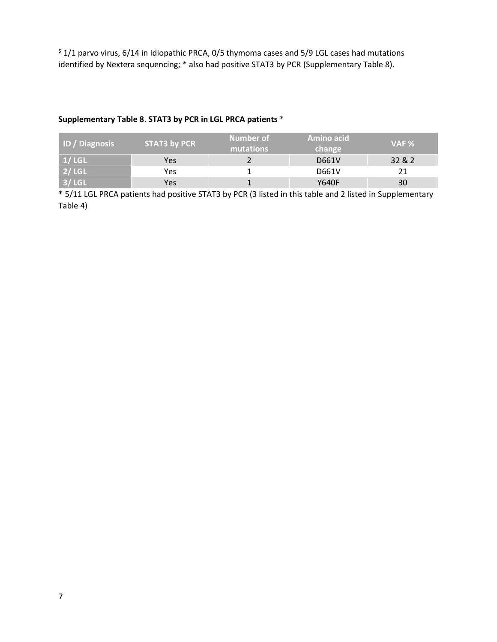$\frac{1}{2}$  1/1 parvo virus, 6/14 in Idiopathic PRCA, 0/5 thymoma cases and 5/9 LGL cases had mutations identified by Nextera sequencing; \* also had positive STAT3 by PCR (Supplementary Table 8).

## **Supplementary Table 8**. **STAT3 by PCR in LGL PRCA patients** \*

| <b>ID</b> / Diagnosis | STAT3 by PCR | Number of<br>mutations | Amino acid<br>change | $VAF \%$ |
|-----------------------|--------------|------------------------|----------------------|----------|
| 1 / LGL               | Yes          |                        | D661V                | 32 & 2   |
| 2 / LGL               | Yes          |                        | D661V                |          |
| $3/$ LGL              | Yes          |                        | Y640F                | 30       |

\* 5/11 LGL PRCA patients had positive STAT3 by PCR (3 listed in this table and 2 listed in Supplementary Table 4)